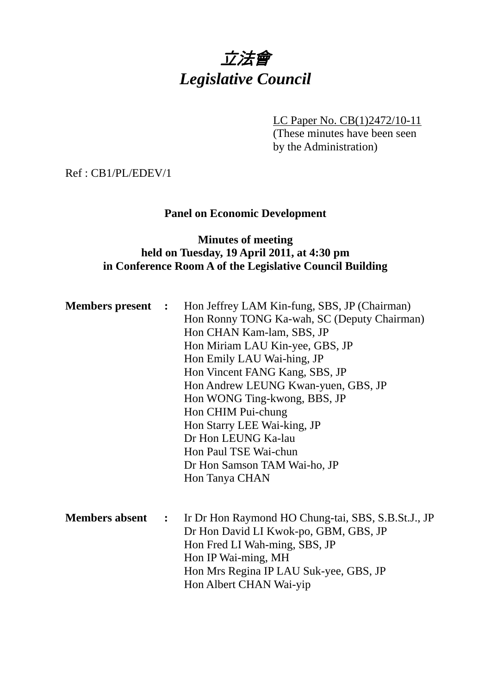# 立法會 *Legislative Council*

LC Paper No. CB(1)2472/10-11 (These minutes have been seen by the Administration)

Ref : CB1/PL/EDEV/1

### **Panel on Economic Development**

# **Minutes of meeting held on Tuesday, 19 April 2011, at 4:30 pm in Conference Room A of the Legislative Council Building**

| <b>Members present</b> : |                             | Hon Jeffrey LAM Kin-fung, SBS, JP (Chairman)<br>Hon Ronny TONG Ka-wah, SC (Deputy Chairman)<br>Hon CHAN Kam-lam, SBS, JP<br>Hon Miriam LAU Kin-yee, GBS, JP<br>Hon Emily LAU Wai-hing, JP<br>Hon Vincent FANG Kang, SBS, JP<br>Hon Andrew LEUNG Kwan-yuen, GBS, JP<br>Hon WONG Ting-kwong, BBS, JP<br>Hon CHIM Pui-chung<br>Hon Starry LEE Wai-king, JP<br>Dr Hon LEUNG Ka-lau<br>Hon Paul TSE Wai-chun<br>Dr Hon Samson TAM Wai-ho, JP<br>Hon Tanya CHAN |
|--------------------------|-----------------------------|-----------------------------------------------------------------------------------------------------------------------------------------------------------------------------------------------------------------------------------------------------------------------------------------------------------------------------------------------------------------------------------------------------------------------------------------------------------|
| <b>Members absent</b>    | $\mathcal{L} = \mathcal{L}$ | Ir Dr Hon Raymond HO Chung-tai, SBS, S.B.St.J., JP<br>Dr Hon David LI Kwok-po, GBM, GBS, JP<br>Hon Fred LI Wah-ming, SBS, JP<br>Hon IP Wai-ming, MH<br>Hon Mrs Regina IP LAU Suk-yee, GBS, JP<br>Hon Albert CHAN Wai-yip                                                                                                                                                                                                                                  |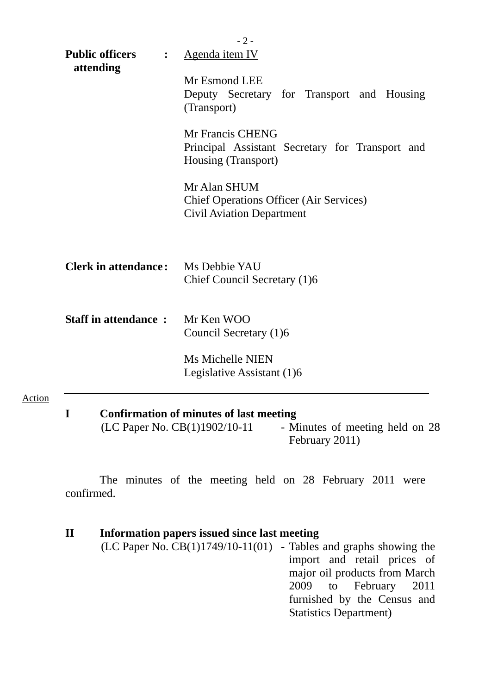|                                                       | $-2-$                                                                                                      |  |  |  |  |
|-------------------------------------------------------|------------------------------------------------------------------------------------------------------------|--|--|--|--|
| <b>Public officers</b><br>$\ddot{\cdot}$<br>attending | Agenda item IV                                                                                             |  |  |  |  |
|                                                       | Mr Esmond LEE                                                                                              |  |  |  |  |
|                                                       | Deputy Secretary for Transport and Housing                                                                 |  |  |  |  |
|                                                       | (Transport)                                                                                                |  |  |  |  |
|                                                       | Mr Francis CHENG<br>Principal Assistant Secretary for Transport and<br>Housing (Transport)<br>Mr Alan SHUM |  |  |  |  |
|                                                       |                                                                                                            |  |  |  |  |
|                                                       |                                                                                                            |  |  |  |  |
|                                                       | <b>Chief Operations Officer (Air Services)</b><br><b>Civil Aviation Department</b>                         |  |  |  |  |
|                                                       |                                                                                                            |  |  |  |  |
| <b>Clerk in attendance:</b>                           | Ms Debbie YAU<br>Chief Council Secretary (1)6                                                              |  |  |  |  |
| <b>Staff in attendance:</b>                           | Mr Ken WOO                                                                                                 |  |  |  |  |
|                                                       | Council Secretary (1)6                                                                                     |  |  |  |  |
|                                                       | <b>Ms Michelle NIEN</b>                                                                                    |  |  |  |  |
|                                                       | Legislative Assistant (1)6                                                                                 |  |  |  |  |
|                                                       |                                                                                                            |  |  |  |  |
| I                                                     | <b>Confirmation of minutes of last meeting</b>                                                             |  |  |  |  |

(LC Paper No.  $CB(1)1902/10-11$  - Minutes of meeting held on 28 February 2011)

 The minutes of the meeting held on 28 February 2011 were confirmed.

Action

| $\mathbf{I}$ | Information papers issued since last meeting                          |                               |
|--------------|-----------------------------------------------------------------------|-------------------------------|
|              | $(LC$ Paper No. $CB(1)1749/10-11(01)$ - Tables and graphs showing the |                               |
|              |                                                                       | import and retail prices of   |
|              |                                                                       | major oil products from March |
|              |                                                                       | 2009 to February 2011         |
|              |                                                                       | furnished by the Census and   |
|              |                                                                       | <b>Statistics Department)</b> |
|              |                                                                       |                               |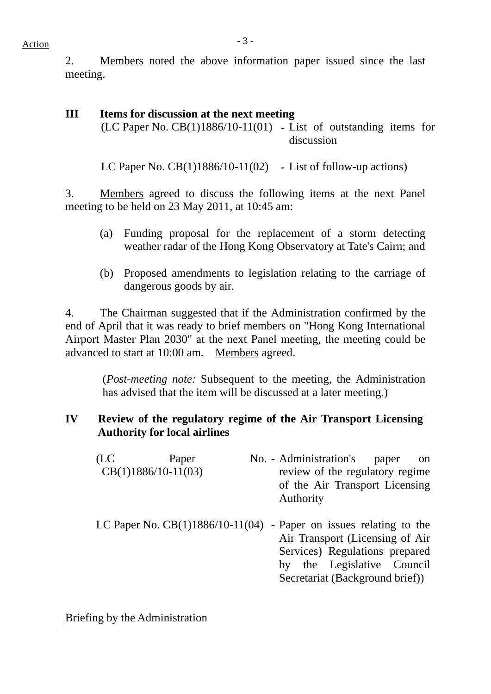$Action$ 

2. Members noted the above information paper issued since the last meeting.

# **III Items for discussion at the next meeting**

(LC Paper No. CB(1)1886/10-11(01) **-** List of outstanding items for discussion

LC Paper No. CB(1)1886/10-11(02) **-** List of follow-up actions)

3. Members agreed to discuss the following items at the next Panel meeting to be held on 23 May 2011, at 10:45 am:

- (a) Funding proposal for the replacement of a storm detecting weather radar of the Hong Kong Observatory at Tate's Cairn; and
- (b) Proposed amendments to legislation relating to the carriage of dangerous goods by air.

4. The Chairman suggested that if the Administration confirmed by the end of April that it was ready to brief members on "Hong Kong International Airport Master Plan 2030" at the next Panel meeting, the meeting could be advanced to start at 10:00 am. Members agreed.

> (*Post-meeting note:* Subsequent to the meeting, the Administration has advised that the item will be discussed at a later meeting.)

# **IV Review of the regulatory regime of the Air Transport Licensing Authority for local airlines**

| (LC | Paper                 | No. - Administration's<br>paper<br>on                                                                                                                                                                      |
|-----|-----------------------|------------------------------------------------------------------------------------------------------------------------------------------------------------------------------------------------------------|
|     | $CB(1)1886/10-11(03)$ | review of the regulatory regime<br>of the Air Transport Licensing<br>Authority                                                                                                                             |
|     |                       | LC Paper No. $CB(1)1886/10-11(04)$ - Paper on issues relating to the<br>Air Transport (Licensing of Air<br>Services) Regulations prepared<br>by the Legislative Council<br>Secretariat (Background brief)) |

Briefing by the Administration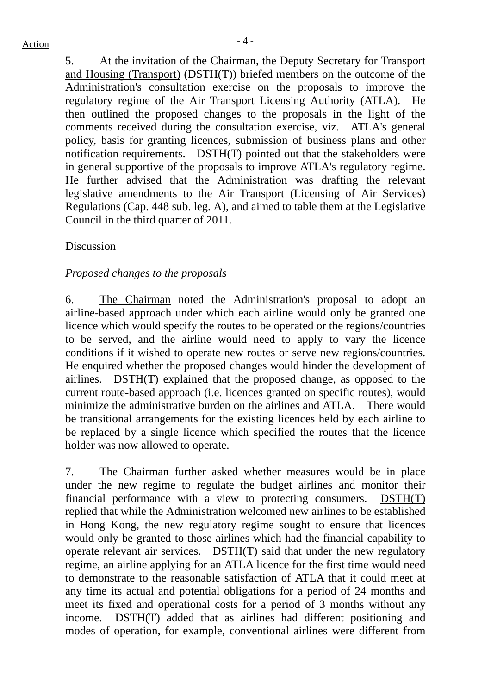5. At the invitation of the Chairman, the Deputy Secretary for Transport and Housing (Transport) (DSTH(T)) briefed members on the outcome of the Administration's consultation exercise on the proposals to improve the regulatory regime of the Air Transport Licensing Authority (ATLA). He then outlined the proposed changes to the proposals in the light of the comments received during the consultation exercise, viz. ATLA's general policy, basis for granting licences, submission of business plans and other notification requirements. DSTH(T) pointed out that the stakeholders were in general supportive of the proposals to improve ATLA's regulatory regime. He further advised that the Administration was drafting the relevant legislative amendments to the Air Transport (Licensing of Air Services) Regulations (Cap. 448 sub. leg. A), and aimed to table them at the Legislative Council in the third quarter of 2011.

### Discussion

### *Proposed changes to the proposals*

6. The Chairman noted the Administration's proposal to adopt an airline-based approach under which each airline would only be granted one licence which would specify the routes to be operated or the regions/countries to be served, and the airline would need to apply to vary the licence conditions if it wished to operate new routes or serve new regions/countries. He enquired whether the proposed changes would hinder the development of airlines. DSTH(T) explained that the proposed change, as opposed to the current route-based approach (i.e. licences granted on specific routes), would minimize the administrative burden on the airlines and ATLA. There would be transitional arrangements for the existing licences held by each airline to be replaced by a single licence which specified the routes that the licence holder was now allowed to operate.

7. The Chairman further asked whether measures would be in place under the new regime to regulate the budget airlines and monitor their financial performance with a view to protecting consumers. DSTH(T) replied that while the Administration welcomed new airlines to be established in Hong Kong, the new regulatory regime sought to ensure that licences would only be granted to those airlines which had the financial capability to operate relevant air services. DSTH(T) said that under the new regulatory regime, an airline applying for an ATLA licence for the first time would need to demonstrate to the reasonable satisfaction of ATLA that it could meet at any time its actual and potential obligations for a period of 24 months and meet its fixed and operational costs for a period of 3 months without any income. DSTH(T) added that as airlines had different positioning and modes of operation, for example, conventional airlines were different from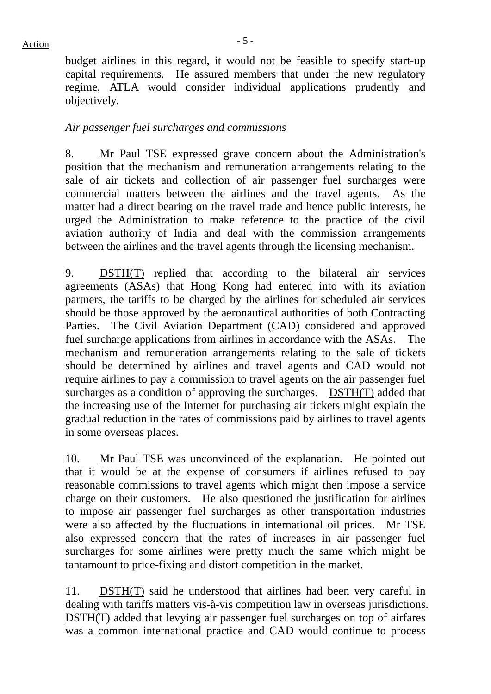$Action$ 

budget airlines in this regard, it would not be feasible to specify start-up capital requirements. He assured members that under the new regulatory regime, ATLA would consider individual applications prudently and objectively.

## *Air passenger fuel surcharges and commissions*

8. Mr Paul TSE expressed grave concern about the Administration's position that the mechanism and remuneration arrangements relating to the sale of air tickets and collection of air passenger fuel surcharges were commercial matters between the airlines and the travel agents. As the matter had a direct bearing on the travel trade and hence public interests, he urged the Administration to make reference to the practice of the civil aviation authority of India and deal with the commission arrangements between the airlines and the travel agents through the licensing mechanism.

9. DSTH(T) replied that according to the bilateral air services agreements (ASAs) that Hong Kong had entered into with its aviation partners, the tariffs to be charged by the airlines for scheduled air services should be those approved by the aeronautical authorities of both Contracting Parties. The Civil Aviation Department (CAD) considered and approved fuel surcharge applications from airlines in accordance with the ASAs. The mechanism and remuneration arrangements relating to the sale of tickets should be determined by airlines and travel agents and CAD would not require airlines to pay a commission to travel agents on the air passenger fuel surcharges as a condition of approving the surcharges. DSTH(T) added that the increasing use of the Internet for purchasing air tickets might explain the gradual reduction in the rates of commissions paid by airlines to travel agents in some overseas places.

10. Mr Paul TSE was unconvinced of the explanation. He pointed out that it would be at the expense of consumers if airlines refused to pay reasonable commissions to travel agents which might then impose a service charge on their customers. He also questioned the justification for airlines to impose air passenger fuel surcharges as other transportation industries were also affected by the fluctuations in international oil prices. Mr TSE also expressed concern that the rates of increases in air passenger fuel surcharges for some airlines were pretty much the same which might be tantamount to price-fixing and distort competition in the market.

11. DSTH(T) said he understood that airlines had been very careful in dealing with tariffs matters vis-à-vis competition law in overseas jurisdictions. DSTH(T) added that levying air passenger fuel surcharges on top of airfares was a common international practice and CAD would continue to process